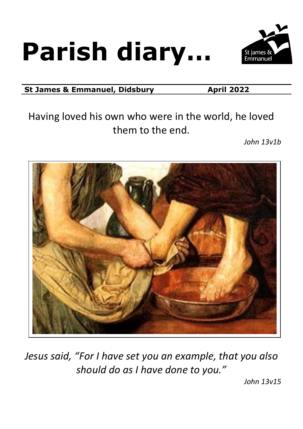# **Parish diary…**



**St James & Emmanuel, Didsbury <b>April** 2022

Having loved his own who were in the world, he loved them to the end.

*John 13v1b*



*Jesus said, "For I have set you an example, that you also should do as I have done to you."*

*John 13v15*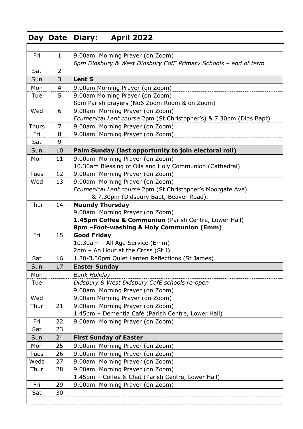|              |                | Day Date Diary:<br><b>April 2022</b>                                                               |  |  |  |  |
|--------------|----------------|----------------------------------------------------------------------------------------------------|--|--|--|--|
|              |                |                                                                                                    |  |  |  |  |
| Fri          | $\mathbf{1}$   | 9.00am Morning Prayer (on Zoom)                                                                    |  |  |  |  |
| Sat          | $\overline{2}$ | 6pm Didsbury & West Didsbury CofE Primary Schools - end of term                                    |  |  |  |  |
| Sun          | 3              |                                                                                                    |  |  |  |  |
| Mon          | 4              | Lent 5                                                                                             |  |  |  |  |
| Tue          | 5              | 9.00am Morning Prayer (on Zoom)<br>9.00am Morning Prayer (on Zoom)                                 |  |  |  |  |
|              |                | 8pm Parish prayers (No6 Zoom Room & on Zoom)                                                       |  |  |  |  |
| Wed          | 6              | 9.00am Morning Prayer (on Zoom)                                                                    |  |  |  |  |
|              |                | Ecumenical Lent course 2pm (St Christopher's) & 7.30pm (Dids Bapt)                                 |  |  |  |  |
| <b>Thurs</b> | 7              | 9.00am Morning Prayer (on Zoom)                                                                    |  |  |  |  |
| Fri          | 8              | 9.00am Morning Prayer (on Zoom)                                                                    |  |  |  |  |
| Sat          | 9              |                                                                                                    |  |  |  |  |
| Sun          | 10             | Palm Sunday (last opportunity to join electoral roll)                                              |  |  |  |  |
| Mon          | 11             | 9.00am Morning Prayer (on Zoom)                                                                    |  |  |  |  |
|              |                | 10.30am Blessing of Oils and Holy Communion (Cathedral)                                            |  |  |  |  |
| <b>Tues</b>  | 12             | 9.00am Morning Prayer (on Zoom)                                                                    |  |  |  |  |
| Wed          | 13             | 9.00am Morning Prayer (on Zoom)                                                                    |  |  |  |  |
|              |                | Ecumenical Lent course 2pm (St Christopher's Moorgate Ave)                                         |  |  |  |  |
|              |                | & 7.30pm (Didsbury Bapt, Beaver Road).                                                             |  |  |  |  |
| Thur         | 14             | <b>Maundy Thursday</b>                                                                             |  |  |  |  |
|              |                | 9.00am Morning Prayer (on Zoom)                                                                    |  |  |  |  |
|              |                | 1.45pm Coffee & Communion (Parish Centre, Lower Hall)<br>8pm - Foot-washing & Holy Communion (Emm) |  |  |  |  |
| Fri          | 15             | <b>Good Friday</b>                                                                                 |  |  |  |  |
|              |                | 10.30am - All Age Service (Emm)                                                                    |  |  |  |  |
|              |                | 2pm - An Hour at the Cross (St J)                                                                  |  |  |  |  |
| Sat          | 16             | 1.30-3.30pm Quiet Lenten Reflections (St James)                                                    |  |  |  |  |
| Sun          | 17             | <b>Easter Sunday</b>                                                                               |  |  |  |  |
| Mon          |                | <b>Bank Holiday</b>                                                                                |  |  |  |  |
| Tue          |                | Didsbury & West Didsbury CofE schools re-open                                                      |  |  |  |  |
|              |                | 9.00am Morning Prayer (on Zoom)                                                                    |  |  |  |  |
| Wed          |                | 9.00am Morning Prayer (on Zoom)                                                                    |  |  |  |  |
| Thur         | 21             | 9.00am Morning Prayer (on Zoom)                                                                    |  |  |  |  |
|              |                | 1.45pm - Dementia Café (Parish Centre, Lower Hall)                                                 |  |  |  |  |
| Fri          | 22             | 9.00am Morning Prayer (on Zoom)                                                                    |  |  |  |  |
| Sat          | 23             |                                                                                                    |  |  |  |  |
| Sun          | 24             | <b>First Sunday of Easter</b>                                                                      |  |  |  |  |
| Mon          | 25             | 9.00am Morning Prayer (on Zoom)                                                                    |  |  |  |  |
| <b>Tues</b>  | 26             | 9.00am Morning Prayer (on Zoom)                                                                    |  |  |  |  |
| Weds         | 27             | 9.00am Morning Prayer (on Zoom)                                                                    |  |  |  |  |
| Thur         | 28             | 9.00am Morning Prayer (on Zoom)                                                                    |  |  |  |  |
| Fri          | 29             | 1.45pm - Coffee & Chat (Parish Centre, Lower Hall)<br>9.00am Morning Prayer (on Zoom)              |  |  |  |  |
| Sat          | 30             |                                                                                                    |  |  |  |  |
|              |                |                                                                                                    |  |  |  |  |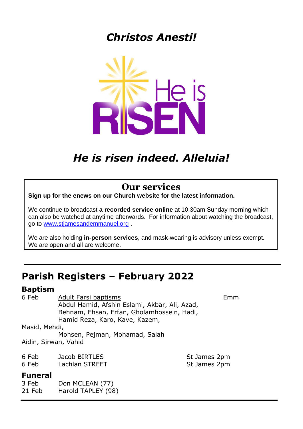## *Christos Anesti!*



## *He is risen indeed. Alleluia!*

#### **Our services**

**Sign up for the enews on our Church website for the latest information.** 

We continue to broadcast **a recorded service online** at 10.30am Sunday morning which can also be watched at anytime afterwards. For information about watching the broadcast, go to [www.stjamesandemmanuel.org](http://www.stjamesandemmanuel.org/) .

We are also holding **in-person services**, and mask-wearing is advisory unless exempt. We are open and all are welcome.

### **Parish Registers – February 2022**

#### **Baptism**

6 Feb Adult Farsi baptisms Emm Abdul Hamid, Afshin Eslami, Akbar, Ali, Azad, Behnam, Ehsan, Erfan, Gholamhossein, Hadi, Hamid Reza, Karo, Kave, Kazem,

#### Masid, Mehdi,

Mohsen, Pejman, Mohamad, Salah Aidin, Sirwan, Vahid

| 6 Feb | Jacob BIRTLES  |
|-------|----------------|
| 6 Feb | Lachlan STREET |

#### **Funeral**

3 Feb Don MCLEAN (77) 21 Feb Harold TAPLEY (98)

St James 2pm St James 2pm